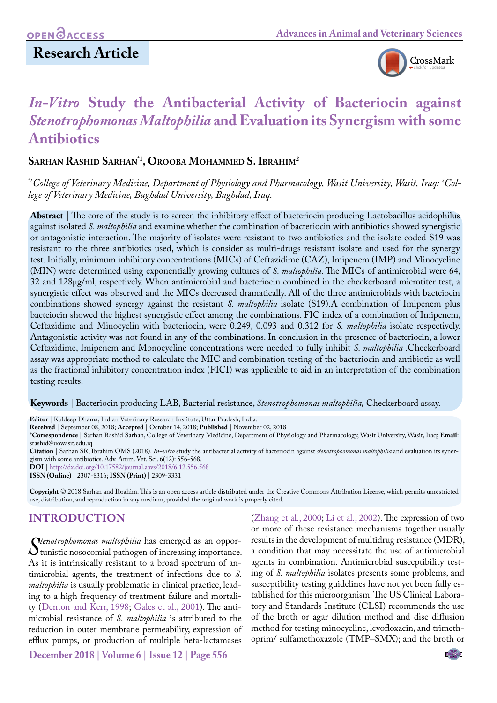# **Research Article**



# *In-Vitro* **Study the Antibacterial Activity of Bacteriocin against**  *Stenotrophomonas Maltophilia* **and Evaluation its Synergism with some Antibiotics**

## **Sarhan Rashid Sarhan\*1, Orooba Mohammed S. Ibrahim2**

*\*1College of Veterinary Medicine, Department of Physiology and Pharmacology, Wasit University, Wasit, Iraq; 2 College of Veterinary Medicine, Baghdad University, Baghdad, Iraq.*

**Abstract** | The core of the study is to screen the inhibitory effect of bacteriocin producing Lactobacillus acidophilus against isolated *S. maltophilia* and examine whether the combination of bacteriocin with antibiotics showed synergistic or antagonistic interaction. The majority of isolates were resistant to two antibiotics and the isolate coded S19 was resistant to the three antibiotics used, which is consider as multi-drugs resistant isolate and used for the synergy test. Initially, minimum inhibitory concentrations (MICs) of Ceftazidime (CAZ), Imipenem (IMP) and Minocycline (MIN) were determined using exponentially growing cultures of *S. maltophilia*. The MICs of antimicrobial were 64, 32 and 128μg/ml, respectively. When antimicrobial and bacteriocin combined in the checkerboard microtiter test, a synergistic effect was observed and the MICs decreased dramatically. All of the three antimicrobials with bacteiocin combinations showed synergy against the resistant *S. maltophilia* isolate (S19).A combination of Imipenem plus bacteiocin showed the highest synergistic effect among the combinations. FIC index of a combination of Imipenem, Ceftazidime and Minocyclin with bacteriocin, were 0.249, 0.093 and 0.312 for *S. maltophilia* isolate respectively. Antagonistic activity was not found in any of the combinations. In conclusion in the presence of bacteriocin, a lower Ceftazidime, Imipenem and Monocycline concentrations were needed to fully inhibit *S. maltophilia .*Checkerboard assay was appropriate method to calculate the MIC and combination testing of the bacteriocin and antibiotic as well as the fractional inhibitory concentration index (FICI) was applicable to aid in an interpretation of the combination testing results.

**Keywords** | Bacteriocin producing LAB, Bacterial resistance, *Stenotrophomonas maltophilia,* Checkerboard assay.

**Editor** | Kuldeep Dhama, Indian Veterinary Research Institute, Uttar Pradesh, India.

**Received** | September 08, 2018; **Accepted** | October 14, 2018; **Published** | November 02, 2018

**\*Correspondence** | Sarhan Rashid Sarhan, College of Veterinary Medicine, Department of Physiology and Pharmacology, Wasit University, Wasit, Iraq; **Email**: srashid@uowasit.edu.iq

**Citation** | Sarhan SR, Ibrahim OMS (2018). *In-vitro* study the antibacterial activity of bacteriocin against *stenotrophomonas maltophilia* and evaluation its synergism with some antibiotics. Adv. Anim. Vet. Sci. 6(12): 556-568.

**DOI** | [http://dx.doi.org/10.17582/journal.aavs/2018/6.1](http://dx.doi.org/10.17582/journal.aavs/2018/6.12.556.568)2.556.568

**ISSN (Online)** | 2307-8316; **ISSN (Print)** | 2309-3331

**Copyright** © 2018 Sarhan and Ibrahim. This is an open access article distributed under the Creative Commons Attribution License, which permits unrestricted use, distribution, and reproduction in any medium, provided the original work is properly cited.

# **INTRODUCTION**

*Stenotrophomonas maltophilia* has emerged as an oppor-<br>*Stunistic nosocomial pathogen of increasing importance.*<br>As it is intrinsically resistant to a broad spectrum of antunistic nosocomial pathogen of increasing importance. As it is intrinsically resistant to a broad spectrum of antimicrobial agents, the treatment of infections due to *S. maltophilia* is usually problematic in clinical practice, leading to a high frequency of treatment failure and mortality ([Denton and Kerr, 1998;](#page-10-0) [Gales et al., 2001](#page-10-1)). The antimicrobial resistance of *S. maltophilia* is attributed to the reduction in outer membrane permeability, expression of efflux pumps, or production of multiple beta-lactamases

(Zhang et al., 2000; [Li et al., 2002](#page-11-0)). The expression of two or more of these resistance mechanisms together usually results in the development of multidrug resistance (MDR), a condition that may necessitate the use of antimicrobial agents in combination. Antimicrobial susceptibility testing of *S. maltophilia* isolates presents some problems, and susceptibility testing guidelines have not yet been fully established for this microorganism. The US Clinical Laboratory and Standards Institute (CLSI) recommends the use of the broth or agar dilution method and disc diffusion method for testing minocycline, levofloxacin, and trimethoprim/ sulfamethoxazole (TMP–SMX); and the broth or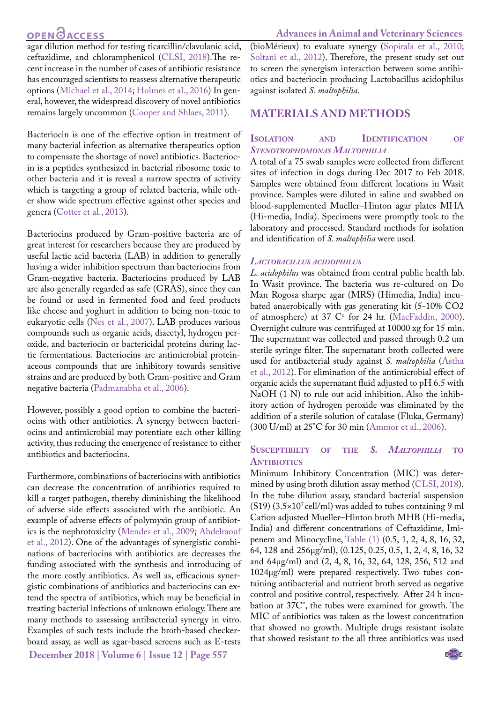agar dilution method for testing ticarcillin/clavulanic acid, ceftazidime, and chloramphenicol ([CLSI, 2018\)](#page-10-2).The recent increase in the number of cases of antibiotic resistance has encouraged scientists to reassess alternative therapeutic options ([Michael et al., 2014](#page-11-1); [Holmes et al., 2016](#page-11-2)) In general, however, the widespread discovery of novel antibiotics remains largely uncommon [\(Cooper and Shlaes, 2011\)](#page-10-3).

Bacteriocin is one of the effective option in treatment of many bacterial infection as alternative therapeutics option to compensate the shortage of novel antibiotics. Bacteriocin is a peptides synthesized in bacterial ribosome toxic to other bacteria and it is reveal a narrow spectra of activity which is targeting a group of related bacteria, while other show wide spectrum effective against other species and genera ([Cotter et al., 2013\)](#page-10-4).

Bacteriocins produced by Gram-positive bacteria are of great interest for researchers because they are produced by useful lactic acid bacteria (LAB) in addition to generally having a wider inhibition spectrum than bacteriocins from Gram-negative bacteria. Bacteriocins produced by LAB are also generally regarded as safe (GRAS), since they can be found or used in fermented food and feed products like cheese and yoghurt in addition to being non-toxic to eukaryotic cells ([Nes et al., 2007\)](#page-11-3). LAB produces various compounds such as organic acids, diacetyl, hydrogen peroxide, and bacteriocin or bactericidal proteins during lactic fermentations. Bacteriocins are antimicrobial proteinaceous compounds that are inhibitory towards sensitive strains and are produced by both Gram-positive and Gram negative bacteria [\(Padmanabha et al., 2006](#page-11-4)).

However, possibly a good option to combine the bacteriocins with other antibiotics. A synergy between bacteriocins and antimicrobial may potentiate each other killing activity, thus reducing the emergence of resistance to either antibiotics and bacteriocins.

Furthermore, combinations of bacteriocins with antibiotics can decrease the concentration of antibiotics required to kill a target pathogen, thereby diminishing the likelihood of adverse side effects associated with the antibiotic. An example of adverse effects of polymyxin group of antibiotics is the nephrotoxicity [\(Mendes et al., 2009;](#page-11-5) [Abdelraouf](#page-9-0) [et al., 2012\)](#page-9-0). One of the advantages of synergistic combinations of bacteriocins with antibiotics are decreases the funding associated with the synthesis and introducing of the more costly antibiotics. As well as, efficacious synergistic combinations of antibiotics and bacteriocins can extend the spectra of antibiotics, which may be beneficial in treating bacterial infections of unknown etiology. There are many methods to assessing antibacterial synergy in vitro. Examples of such tests include the broth-based checkerboard assay, as well as agar-based screens such as E-tests

**December 2018 | Volume 6 | Issue 12 | Page 557**

#### **Advances in Animal and Veterinary Sciences**

(bioMérieux) to evaluate synergy ([Sopirala et al., 2010;](#page-12-0) [Soltani et al., 2012\)](#page-12-1). Therefore, the present study set out to screen the synergism interaction between some antibiotics and bacteriocin producing Lactobacillus acidophilus against isolated *S. maltophilia*.

## **MATERIALS AND METHODS**

## **Isolation and Identification of** *Stenotrophomonas Maltophilia*

A total of a 75 swab samples were collected from different sites of infection in dogs during Dec 2017 to Feb 2018. Samples were obtained from different locations in Wasit province. Samples were diluted in saline and swabbed on blood-supplemented Mueller–Hinton agar plates MHA (Hi-media, India). Specimens were promptly took to the laboratory and processed. Standard methods for isolation and identification of *S. maltophilia* were used*.* 

#### *Lactobacillus acidophilus*

*L. acidophilus* was obtained from central public health lab. In Wasit province. The bacteria was re-cultured on Do Man Rogosa sharpe agar (MRS) (Himedia, India) incubated anaerobically with gas generating kit (5-10% CO2 of atmosphere) at 37  $\mathbb{C}^{\circ}$  for 24 hr. [\(MacFaddin, 2000](#page-11-6)). Overnight culture was centrifuged at 10000 xg for 15 min. The supernatant was collected and passed through 0.2 um sterile syringe filter. The supernatant broth collected were used for antibacterial study against *S. maltophilia* ([Astha](#page-10-5)  [et al., 2012](#page-10-5)). For elimination of the antimicrobial effect of organic acids the supernatant fluid adjusted to pH 6.5 with NaOH (1 N) to rule out acid inhibition. Also the inhibitory action of hydrogen peroxide was eliminated by the addition of a sterile solution of catalase (Fluka, Germany) (300 U/ml) at 25°C for 30 min ([Ammor et al., 2006](#page-9-1)).

#### **Susceptibilty of the** *S. Maltophilia* **to ANTIBIOTICS**

Minimum Inhibitory Concentration (MIC) was determined by using broth dilution assay method [\(CLSI, 2018](#page-10-2)). In the tube dilution assay, standard bacterial suspension  $(S19)$  (3.5×10<sup>7</sup> cell/ml) was added to tubes containing 9 ml Cation adjusted Mueller–Hinton broth MHB (Hi-media, India) and different concentrations of Ceftazidime, Imipenem and Minocycline, [Table \(1\)](#page-2-0) (0.5, 1, 2, 4, 8, 16, 32, 64, 128 and 256µg/ml), (0.125, 0.25, 0.5, 1, 2, 4, 8, 16, 32 and 64µg/ml) and (2, 4, 8, 16, 32, 64, 128, 256, 512 and 1024µg/ml) were prepared respectively. Two tubes containing antibacterial and nutrient broth served as negative control and positive control, respectively. After 24 h incubation at 37C°, the tubes were examined for growth. The MIC of antibiotics was taken as the lowest concentration that showed no growth. Multiple drugs resistant isolate that showed resistant to the all three antibiotics was used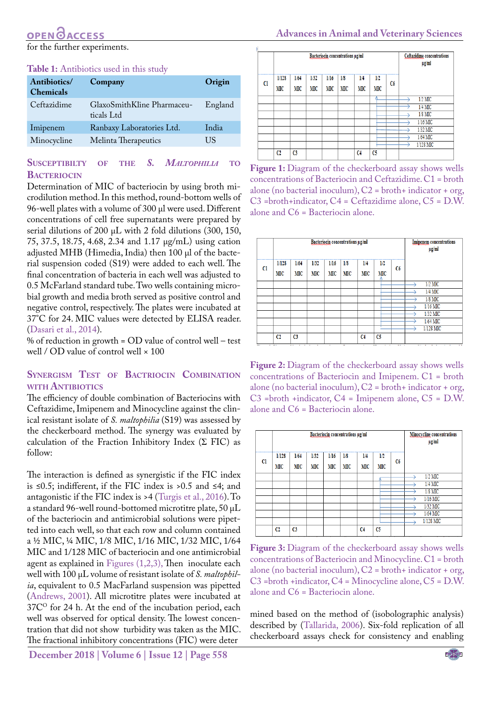for the further experiments.

#### <span id="page-2-0"></span>**Table 1:** Antibiotics used in this study

| Antibiotics/<br><b>Chemicals</b> | Company                                  | Origin  |
|----------------------------------|------------------------------------------|---------|
| Ceftazidime                      | GlaxoSmithKline Pharmaceu-<br>ticals Ltd | England |
| Imipenem                         | Ranbaxy Laboratories Ltd.                | India   |
| Minocycline                      | Melinta Therapeutics                     | US      |

## **Susceptibilty of the** *S. Maltophilia* **to BACTERIOCIN**

Determination of MIC of bacteriocin by using broth microdilution method. In this method, round-bottom wells of 96-well plates with a volume of 300 μl were used. Different concentrations of cell free supernatants were prepared by serial dilutions of 200 μL with 2 fold dilutions (300, 150, 75, 37.5, 18.75, 4.68, 2.34 and 1.17 μg/mL) using cation adjusted MHB (Himedia, India) then 100 μl of the bacterial suspension coded (S19) were added to each well. The final concentration of bacteria in each well was adjusted to 0.5 McFarland standard tube. Two wells containing microbial growth and media broth served as positive control and negative control, respectively. The plates were incubated at 37°C for 24. MIC values were detected by ELISA reader. ([Dasari et al., 2014\)](#page-10-6).

% of reduction in growth = OD value of control well – test well / OD value of control well × 100

## **Synergism Test of Bactriocin Combination with Antibiotics**

The efficiency of double combination of Bacteriocins with Ceftazidime, Imipenem and Minocycline against the clinical resistant isolate of *S. maltophilia* (S19) was assessed by the checkerboard method. The synergy was evaluated by calculation of the Fraction Inhibitory Index  $(\Sigma$  FIC) as follow:

The interaction is defined as synergistic if the FIC index is ≤0.5; indifferent, if the FIC index is >0.5 and ≤4; and antagonistic if the FIC index is >4 [\(Turgis et al., 2016](#page-12-2)). To a standard 96-well round-bottomed microtitre plate, 50 μL of the bacteriocin and antimicrobial solutions were pipetted into each well, so that each row and column contained a ½ MIC, ¼ MIC, 1/8 MIC, 1/16 MIC, 1/32 MIC, 1/64 MIC and 1/128 MIC of bacteriocin and one antimicrobial agent as explained i[n Figures \(1](#page-2-1)[,2,](#page-2-2)[3\),](#page-2-3) Then inoculate each well with 100 μL volume of resistant isolate of *S. maltophilia*, equivalent to 0.5 MacFarland suspension was pipetted ([Andrews, 2001\)](#page-10-7). All microtitre plates were incubated at  $37C<sup>o</sup>$  for 24 h. At the end of the incubation period, each well was observed for optical density. The lowest concentration that did not show turbidity was taken as the MIC. The fractional inhibitory concentrations (FIC) were deter

|    |             |            | Ceftazidime concentrations<br>$\mu$ g/ml |             |            |            |                |    |            |
|----|-------------|------------|------------------------------------------|-------------|------------|------------|----------------|----|------------|
| C1 | 1/128<br>MС | 1/64<br>МC | 1/32<br>MС                               | 1/16<br>MIC | 1/8<br>MIC | 1/4<br>MIC | 1/2<br>MIC     | C6 |            |
|    |             |            |                                          |             |            |            |                |    | $1/2$ MIC  |
|    |             |            |                                          |             |            |            |                |    | $1/4$ MIC  |
|    |             |            |                                          |             |            |            |                |    | $1/8$ MIC  |
|    |             |            |                                          |             |            |            |                |    | $1/16$ MIC |
|    |             |            |                                          |             |            |            |                |    | $1/32$ MIC |
|    |             |            |                                          |             |            |            |                |    | $1/64$ MIC |
|    |             |            |                                          |             |            |            |                |    | 1/128 MIC  |
|    | C2          | C3         |                                          |             |            | C4         | C <sub>5</sub> |    |            |

<span id="page-2-1"></span>Figure 1: Diagram of the checkerboard assay shows wells concentrations of Bacteriocin and Ceftazidime. C1 = broth alone (no bacterial inoculum), C2 = broth+ indicator + org, C3 =broth+indicator, C4 = Ceftazidime alone, C5 = D.W. alone and C6 = Bacteriocin alone.

|               |                |                | Bacteriocin concentrations µg/ml | <b>Imipenem</b> concentrations<br>$\mu$ g/ml |            |                |            |    |            |
|---------------|----------------|----------------|----------------------------------|----------------------------------------------|------------|----------------|------------|----|------------|
| <sub>C1</sub> | 1/128<br>MIC   | 1/64<br>МC     | 1/32<br>МC                       | 1/16<br>MIC                                  | 1/8<br>MIC | 1/4<br>МC      | 1/2<br>MIC | C6 |            |
|               |                |                |                                  |                                              |            |                |            |    | $1/2$ MIC  |
|               |                |                |                                  |                                              |            |                |            |    | $1/4$ MIC  |
|               |                |                |                                  |                                              |            |                |            |    | $1/8$ MIC  |
|               |                |                |                                  |                                              |            |                |            |    | $1/16$ MIC |
|               |                |                |                                  |                                              |            |                |            |    | 1/32 MIC   |
|               |                |                |                                  |                                              |            |                |            |    | $1/64$ MIC |
|               |                |                |                                  |                                              |            |                |            |    | 1/128 MIC  |
|               | C <sub>2</sub> | C <sub>3</sub> |                                  |                                              |            | C <sub>4</sub> | C5         |    |            |

<span id="page-2-2"></span>**Figure 2:** Diagram of the checkerboard assay shows wells concentrations of Bacteriocin and Imipenem. C1 = broth alone (no bacterial inoculum), C2 = broth+ indicator + org, C3 =broth +indicator, C4 = Imipenem alone, C5 = D.W. alone and C6 = Bacteriocin alone.

|               |                |                | <b>Minocycline</b> concentrations<br>$\mu$ g/ml |            |           |                |                |    |            |
|---------------|----------------|----------------|-------------------------------------------------|------------|-----------|----------------|----------------|----|------------|
| <sub>C1</sub> | 1/128<br>МC    | 1/64<br>МС     | 1/32<br>MС                                      | 1/16<br>МС | 1/8<br>MС | 1/4<br>MIC     | 1/2<br>МС      | C6 |            |
|               |                |                |                                                 |            |           |                |                |    | $1/2$ MIC  |
|               |                |                |                                                 |            |           |                |                |    | $1/4$ MIC  |
|               |                |                |                                                 |            |           |                |                |    | $1/8$ MIC  |
|               |                |                |                                                 |            |           |                |                |    | $1/16$ MIC |
|               |                |                |                                                 |            |           |                |                |    | $1/32$ MIC |
|               |                |                |                                                 |            |           |                |                |    | $1/64$ MIC |
|               |                |                |                                                 |            |           |                |                |    | 1/128 MIC  |
|               | C <sub>2</sub> | C <sub>3</sub> |                                                 |            |           | C <sub>4</sub> | C <sub>5</sub> |    |            |

<span id="page-2-3"></span>**Figure 3:** Diagram of the checkerboard assay shows wells concentrations of Bacteriocin and Minocycline. C1 = broth alone (no bacterial inoculum), C2 = broth+ indicator + org, C3 =broth +indicator, C4 = Minocycline alone, C5 = D.W. alone and C6 = Bacteriocin alone.

mined based on the method of (isobolographic analysis) described by ([Tallarida, 2006](#page-12-3)). Six-fold replication of all checkerboard assays check for consistency and enabling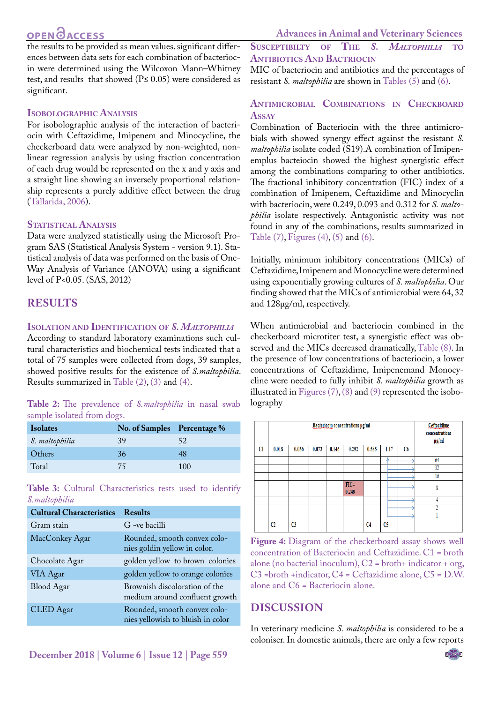the results to be provided as mean values. significant differences between data sets for each combination of bacteriocin were determined using the Wilcoxon Mann–Whitney test, and results that showed ( $P \le 0.05$ ) were considered as significant.

# **Isobolographic Analysis**

For isobolographic analysis of the interaction of bacteriocin with Ceftazidime, Imipenem and Minocycline, the checkerboard data were analyzed by non-weighted, nonlinear regression analysis by using fraction concentration of each drug would be represented on the x and y axis and a straight line showing an inversely proportional relationship represents a purely additive effect between the drug [\(Tallarida, 2006](#page-12-3)).

## **Statistical Analysis**

Data were analyzed statistically using the Microsoft Program SAS (Statistical Analysis System - version 9.1). Statistical analysis of data was performed on the basis of One-Way Analysis of Variance (ANOVA) using a significant level of P<0.05. (SAS, 2012)

# **RESULTS**

## **Isolation and Identification of** *S. Maltophilia*

According to standard laboratory examinations such cultural characteristics and biochemical tests indicated that a total of 75 samples were collected from dogs, 39 samples, showed positive results for the existence of *S.maltophilia*. Results summarized in [Table \(2\)](#page-3-0), [\(3\) a](#page-3-1)nd [\(4\).](#page-3-2)

## <span id="page-3-0"></span>**Table 2:** The prevalence of *S.maltophilia* in nasal swab sample isolated from dogs.

| <b>Isolates</b> | No. of Samples Percentage % |     |
|-----------------|-----------------------------|-----|
| S. maltophilia  | 39                          | 52  |
| Others          | 36                          | 48  |
| Total           | 75                          | 100 |

<span id="page-3-1"></span>**Table 3:** Cultural Characteristics tests used to identify *S.maltophilia*

| <b>Results</b>                                                    |
|-------------------------------------------------------------------|
| G -ve bacilli                                                     |
| Rounded, smooth convex colo-<br>nies goldin yellow in color.      |
| golden yellow to brown colonies                                   |
| golden yellow to orange colonies                                  |
| Brownish discoloration of the<br>medium around confluent growth   |
| Rounded, smooth convex colo-<br>nies yellowish to bluish in color |
|                                                                   |

**Susceptibilty of The** *S. Maltophilia* **to Antibiotics And Bactriocin**

MIC of bacteriocin and antibiotics and the percentages of resistant *S. maltophilia* are shown in [Tables \(5\)](#page-4-0) and [\(6\)](#page-4-1).

# **Antimicrobial Combinations in Checkboard Assay**

Combination of Bacteriocin with the three antimicrobials with showed synergy effect against the resistant *S. maltophilia* isolate coded (S19).A combination of Imipenemplus bacteiocin showed the highest synergistic effect among the combinations comparing to other antibiotics. The fractional inhibitory concentration (FIC) index of a combination of Imipenem, Ceftazidime and Minocyclin with bacteriocin, were 0.249, 0.093 and 0.312 for *S. maltophilia* isolate respectively. Antagonistic activity was not found in any of the combinations, results summarized in [Table \(7\)](#page-5-0), [Figures \(4\)](#page-3-2), [\(5\)](#page-5-1) and [\(6\).](#page-5-2)

Initially, minimum inhibitory concentrations (MICs) of Ceftazidime, Imipenem and Monocycline were determined using exponentially growing cultures of *S. maltophilia*. Our finding showed that the MICs of antimicrobial were 64, 32 and 128μg/ml, respectively.

When antimicrobial and bacteriocin combined in the checkerboard microtiter test, a synergistic effect was observed and the MICs decreased dramatically, [Table \(8\).](#page-5-3) In the presence of low concentrations of bacteriocin, a lower concentrations of Ceftazidime, Imipenemand Monocycline were needed to fully inhibit *S. maltophilia* growth as illustrated in Figures  $(7)$ ,  $(8)$  and  $(9)$  represented the isobolography

|    |       | Bacteriocin concentrations µg/ml |       |       |                  |                |                |    |            |  |  |  |
|----|-------|----------------------------------|-------|-------|------------------|----------------|----------------|----|------------|--|--|--|
| Cl | 0.018 | 0.036                            | 0.073 | 0.146 | 0.292            | 0.585          | 1.17           | C6 | $\mu$ g/ml |  |  |  |
|    |       |                                  |       |       |                  |                |                |    | 64         |  |  |  |
|    |       |                                  |       |       |                  |                |                |    | 32         |  |  |  |
|    |       |                                  |       |       |                  |                |                |    | 16         |  |  |  |
|    |       |                                  |       |       | $FIC =$<br>0.249 |                |                |    | 8          |  |  |  |
|    |       |                                  |       |       |                  |                |                |    |            |  |  |  |
|    |       |                                  |       |       |                  |                |                |    |            |  |  |  |
|    |       |                                  |       |       |                  |                |                |    |            |  |  |  |
|    | C2    | C <sub>3</sub>                   |       |       |                  | C <sub>4</sub> | C <sub>5</sub> |    |            |  |  |  |

<span id="page-3-2"></span>**Figure 4:** Diagram of the checkerboard assay shows well concentration of Bacteriocin and Ceftazidime. C1 = broth alone (no bacterial inoculum),  $C2 =$  broth+ indicator + org, C3 =broth +indicator, C4 = Ceftazidime alone, C5 = D.W. alone and C6 = Bacteriocin alone.

# **DISCUSSION**

In veterinary medicine *S. maltophilia* is considered to be a coloniser. In domestic animals, there are only a few reports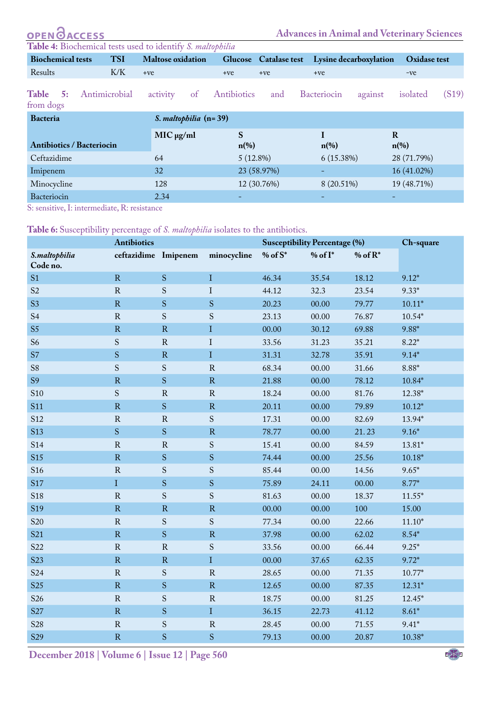<span id="page-4-0"></span>

| <b>OPEN GACCESS</b>                                        |               |                          |                         |                       | <b>Advances in Animal and Veterinary Sciences</b> |         |                     |       |
|------------------------------------------------------------|---------------|--------------------------|-------------------------|-----------------------|---------------------------------------------------|---------|---------------------|-------|
| Table 4: Biochemical tests used to identify S. maltophilia |               |                          |                         |                       |                                                   |         |                     |       |
| <b>Biochemical tests</b>                                   | <b>TSI</b>    | <b>Maltose</b> oxidation |                         | Glucose Catalase test | Lysine decarboxylation                            |         | <b>Oxidase test</b> |       |
| Results                                                    | K/K           | $+ve$                    | $+ve$                   | $+ve$                 | $+ve$                                             |         | $-ve$               |       |
| Table<br>5:<br>from dogs                                   | Antimicrobial | activity<br>of           | Antibiotics             | and                   | <b>Bacteriocin</b>                                | against | isolated            | (S19) |
| <b>Bacteria</b>                                            |               | S. maltophilia (n=39)    |                         |                       |                                                   |         |                     |       |
| <b>Antibiotics / Bacteriocin</b>                           |               | $MIC$ $\mu$ g/ml         | S<br>$n\left(\%\right)$ |                       | $n\left(\%\right)$                                | $\bf R$ | $n\left(\%\right)$  |       |
| Ceftazidime                                                |               | 64                       | 5(12.8%)                |                       | 6(15.38%)                                         |         | 28 (71.79%)         |       |
| Imipenem                                                   |               | 32                       |                         | 23 (58.97%)           | -                                                 |         | 16 (41.02%)         |       |
| Minocycline                                                |               | 128                      |                         | 12 (30.76%)           | 8 (20.51%)                                        |         | 19 (48.71%)         |       |
|                                                            |               |                          |                         |                       |                                                   |         |                     |       |

Bacteriocin  $2.34$   $2.34$   $3.4$   $4.4$   $5.4$   $6.4$   $6.4$   $7.4$   $7.4$   $8.4$   $7.4$   $8.4$   $9.4$   $10.4$   $10.4$   $10.4$   $10.4$   $10.4$   $10.4$   $10.4$   $10.4$   $10.4$   $10.4$   $10.4$   $10.4$   $10.4$   $10.4$   $10.4$   $10.4$   $10.4$   $10.4$   $10$ S: sensitive, I: intermediate, R: resistance

<span id="page-4-1"></span>**Table 6:** Susceptibility percentage of *S. maltophilia* isolates to the antibiotics.

|                           | . <del>.</del> .<br><b>Antibiotics</b> |               |               | <b>Susceptibility Percentage (%)</b> |              |            | Ch-square |
|---------------------------|----------------------------------------|---------------|---------------|--------------------------------------|--------------|------------|-----------|
| S.maltophilia<br>Code no. | ceftazidime Imipenem                   |               | minocycline   | $%$ of $S^*$                         | $%$ of $I^*$ | % of $R^*$ |           |
| S <sub>1</sub>            | R                                      | S             | $\bf{I}$      | 46.34                                | 35.54        | 18.12      | $9.12*$   |
| S <sub>2</sub>            | ${\bf R}$                              | ${\mathbf S}$ | $\mathbf I$   | 44.12                                | 32.3         | 23.54      | $9.33*$   |
| S <sub>3</sub>            | $\overline{\mathrm{R}}$                | ${\bf S}$     | ${\bf S}$     | 20.23                                | 00.00        | 79.77      | $10.11*$  |
| S <sub>4</sub>            | $\mathbf R$                            | ${\bf S}$     | ${\bf S}$     | 23.13                                | 00.00        | 76.87      | $10.54*$  |
| S <sub>5</sub>            | ${\bf R}$                              | ${\bf R}$     | $\mathbf I$   | 00.00                                | 30.12        | 69.88      | 9.88*     |
| S <sub>6</sub>            | S                                      | ${\bf R}$     | $\rm I$       | 33.56                                | 31.23        | 35.21      | $8.22*$   |
| S7                        | S                                      | ${\bf R}$     | $\rm I$       | 31.31                                | 32.78        | 35.91      | $9.14*$   |
| S8                        | $\mathbf S$                            | S             | ${\bf R}$     | 68.34                                | 00.00        | 31.66      | $8.88*$   |
| S <sub>9</sub>            | $\mathbf R$                            | ${\bf S}$     | ${\bf R}$     | 21.88                                | 00.00        | 78.12      | $10.84*$  |
| S <sub>10</sub>           | ${\mathbf S}$                          | ${\bf R}$     | ${\bf R}$     | 18.24                                | 00.00        | 81.76      | 12.38*    |
| <b>S11</b>                | ${\bf R}$                              | ${\bf S}$     | ${\bf R}$     | 20.11                                | 00.00        | 79.89      | $10.12*$  |
| S <sub>12</sub>           | ${\bf R}$                              | ${\bf R}$     | ${\bf S}$     | 17.31                                | 00.00        | 82.69      | 13.94*    |
| <b>S13</b>                | $\mathbf S$                            | S             | ${\bf R}$     | 78.77                                | 00.00        | 21.23      | $9.16*$   |
| <b>S14</b>                | ${\bf R}$                              | ${\bf R}$     | ${\bf S}$     | 15.41                                | 00.00        | 84.59      | 13.81*    |
| <b>S15</b>                | ${\bf R}$                              | S             | ${\bf S}$     | 74.44                                | 00.00        | 25.56      | $10.18*$  |
| S <sub>16</sub>           | ${\bf R}$                              | S             | ${\bf S}$     | 85.44                                | 00.00        | 14.56      | $9.65*$   |
| <b>S17</b>                | $\overline{I}$                         | S             | ${\bf S}$     | 75.89                                | 24.11        | 00.00      | $8.77*$   |
| S <sub>18</sub>           | $\overline{\mathrm{R}}$                | ${\bf S}$     | ${\bf S}$     | 81.63                                | 00.00        | 18.37      | $11.55*$  |
| S <sub>19</sub>           | ${\bf R}$                              | $\mathbf R$   | ${\bf R}$     | 00.00                                | 00.00        | 100        | 15.00     |
| S <sub>20</sub>           | ${\bf R}$                              | ${\mathbf S}$ | ${\bf S}$     | 77.34                                | 00.00        | 22.66      | $11.10*$  |
| S <sub>21</sub>           | $\rm R$                                | S             | ${\bf R}$     | 37.98                                | 00.00        | 62.02      | $8.54*$   |
| S <sub>22</sub>           | $\rm R$                                | ${\bf R}$     | ${\mathbf S}$ | 33.56                                | 00.00        | 66.44      | $9.25*$   |
| S <sub>23</sub>           | $\mathbf R$                            | ${\bf R}$     | $\mathbf I$   | 00.00                                | 37.65        | 62.35      | $9.72*$   |
| S <sub>24</sub>           | ${\bf R}$                              | ${\bf S}$     | ${\bf R}$     | 28.65                                | 00.00        | 71.35      | $10.77*$  |
| S <sub>25</sub>           | $\rm R$                                | ${\bf S}$     | ${\bf R}$     | 12.65                                | 00.00        | 87.35      | $12.31*$  |
| S <sub>26</sub>           | ${\bf R}$                              | S             | ${\bf R}$     | 18.75                                | 00.00        | 81.25      | $12.45*$  |
| S <sub>27</sub>           | $\overline{\mathrm{R}}$                | S             | $\mathbf I$   | 36.15                                | 22.73        | 41.12      | $8.61*$   |
| S28                       | ${\bf R}$                              | S             | ${\bf R}$     | 28.45                                | 00.00        | 71.55      | $9.41*$   |
| S <sub>29</sub>           | ${\bf R}$                              | ${\bf S}$     | ${\bf S}$     | 79.13                                | 00.00        | 20.87      | $10.38*$  |
|                           |                                        |               |               |                                      |              |            |           |

**December 2018 | Volume 6 | Issue 12 | Page 560**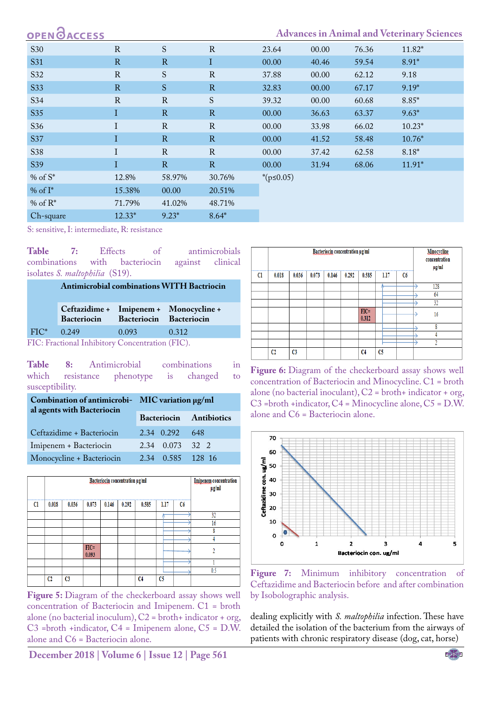# **OPEN**<sub>d</sub>

## **Advances in Animal and Veterinary Sciences**

| <b>S30</b> | $\mathbf R$ | S             | $\mathbf R$   | 23.64            | 00.00 | 76.36 | $11.82*$ |
|------------|-------------|---------------|---------------|------------------|-------|-------|----------|
| S31        | R           | $\mathbf R$   | I             | 00.00            | 40.46 | 59.54 | $8.91*$  |
| S32        | $\mathbf R$ | ${\mathbf S}$ | $\mathbf R$   | 37.88            | 00.00 | 62.12 | 9.18     |
| S33        | R           | ${\bf S}$     | $\mathbf R$   | 32.83            | 00.00 | 67.17 | $9.19*$  |
| S34        | $\mathbf R$ | ${\bf R}$     | ${\mathbf S}$ | 39.32            | 00.00 | 60.68 | $8.85*$  |
| <b>S35</b> | Ι           | $\mathbb{R}$  | $\mathbf R$   | 00.00            | 36.63 | 63.37 | $9.63*$  |
| S36        | I           | $\mathbf R$   | $\mathbf R$   | 00.00            | 33.98 | 66.02 | $10.23*$ |
| S37        | I           | $\mathbf R$   | $\mathbf R$   | 00.00            | 41.52 | 58.48 | $10.76*$ |
| S38        | I           | $\mathbf R$   | $\mathbf R$   | 00.00            | 37.42 | 62.58 | $8.18*$  |
| S39        | Ι           | R             | $\mathbf R$   | 00.00            | 31.94 | 68.06 | $11.91*$ |
| % of $S^*$ | 12.8%       | 58.97%        | 30.76%        | * $(p \le 0.05)$ |       |       |          |
| % of $I^*$ | 15.38%      | 00.00         | 20.51%        |                  |       |       |          |
| % of $R^*$ | 71.79%      | 41.02%        | 48.71%        |                  |       |       |          |
| Ch-square  | $12.33*$    | $9.23*$       | $8.64*$       |                  |       |       |          |

S: sensitive, I: intermediate, R: resistance

<span id="page-5-0"></span>Table 7: Effects of antimicrobials<br>combinations with bacteriocin against clinical combinations isolates *S. maltophilia* (S19).

| <b>Antimicrobial combinations WITH Bactriocin</b> |
|---------------------------------------------------|
|---------------------------------------------------|

|         | Bacteriocin Bacteriocin Bacteriocin |       | Ceftazidime + Imipenem + Monocycline + |
|---------|-------------------------------------|-------|----------------------------------------|
| $FIC^*$ | 0.249                               | 0.093 | 0.312                                  |
|         |                                     |       |                                        |

FIC: Fractional Inhibitory Concentration (FIC).

<span id="page-5-3"></span>**Table 8:** Antimicrobial combinations in phenotype is changed to susceptibility.

| Combination of antimicrobi- MIC variation µg/ml<br>al agents with Bacteriocin |                                |      |  |  |
|-------------------------------------------------------------------------------|--------------------------------|------|--|--|
|                                                                               | <b>Bacteriocin Antibiotics</b> |      |  |  |
| Ceftazidime + Bacteriocin                                                     | 2.34 0.292                     | -648 |  |  |
| Imipenem + Bacteriocin                                                        | 2.34 0.073 32 2                |      |  |  |
| Monocycline + Bacteriocin                                                     | 2.34 0.585 128 16              |      |  |  |

|               | Bacteriocin concentration µg/ml |                |                  |       |       |                |                | <b>Imipenem</b> concentration<br>$\mu$ g/ml |     |
|---------------|---------------------------------|----------------|------------------|-------|-------|----------------|----------------|---------------------------------------------|-----|
| <sub>C1</sub> | 0.018                           | 0.036          | 0.073            | 0.146 | 0.292 | 0.585          | 1.17           | C6                                          |     |
|               |                                 |                |                  |       |       |                |                |                                             | 32  |
|               |                                 |                |                  |       |       |                |                |                                             | 16  |
|               |                                 |                |                  |       |       |                |                |                                             | ٥   |
|               |                                 |                |                  |       |       |                |                |                                             |     |
|               |                                 |                | $FIC =$<br>0.093 |       |       |                |                |                                             |     |
|               |                                 |                |                  |       |       |                |                |                                             |     |
|               |                                 |                |                  |       |       |                |                |                                             | 0.5 |
|               | C <sub>2</sub>                  | C <sub>3</sub> |                  |       |       | C <sub>4</sub> | C <sub>5</sub> |                                             |     |

<span id="page-5-1"></span>**Figure 5:** Diagram of the checkerboard assay shows well concentration of Bacteriocin and Imipenem. C1 = broth alone (no bacterial inoculum),  $C2 =$  broth+ indicator + org, C3 =broth +indicator, C4 = Imipenem alone, C5 = D.W. alone and C6 = Bacteriocin alone.

**December 2018 | Volume 6 | Issue 12 | Page 561**

|    | Bacteriocin concentration µg/ml |                |       |       |       |                  |                |    | <b>Minocycline</b><br>concentration<br>$\mu$ g/ml |
|----|---------------------------------|----------------|-------|-------|-------|------------------|----------------|----|---------------------------------------------------|
| Cl | 0.018                           | 0.036          | 0.073 | 0.146 | 0.292 | 0.585            | 1.17           | Cб |                                                   |
|    |                                 |                |       |       |       |                  |                |    | 128                                               |
|    |                                 |                |       |       |       |                  |                |    | 64                                                |
|    |                                 |                |       |       |       |                  |                |    | 32                                                |
|    |                                 |                |       |       |       | $FIC =$<br>0.312 |                |    | 16                                                |
|    |                                 |                |       |       |       |                  |                |    | Ō                                                 |
|    |                                 |                |       |       |       |                  |                |    |                                                   |
|    |                                 |                |       |       |       |                  |                |    |                                                   |
|    | C <sub>2</sub>                  | C <sub>3</sub> |       |       |       | C <sub>4</sub>   | C <sub>5</sub> |    |                                                   |

<span id="page-5-2"></span>Figure 6: Diagram of the checkerboard assay shows well concentration of Bacteriocin and Minocycline. C1 = broth alone (no bacterial inoculant),  $C2 =$  broth+ indicator + org, C3 =broth +indicator, C4 = Minocycline alone, C5 = D.W. alone and C6 = Bacteriocin alone.



<span id="page-5-4"></span>**Figure 7:** Minimum inhibitory concentration of Ceftazidime and Bacteriocin before and after combination by Isobolographic analysis.

dealing explicitly with *S. maltophilia* infection. These have detailed the isolation of the bacterium from the airways of patients with chronic respiratory disease (dog, cat, horse)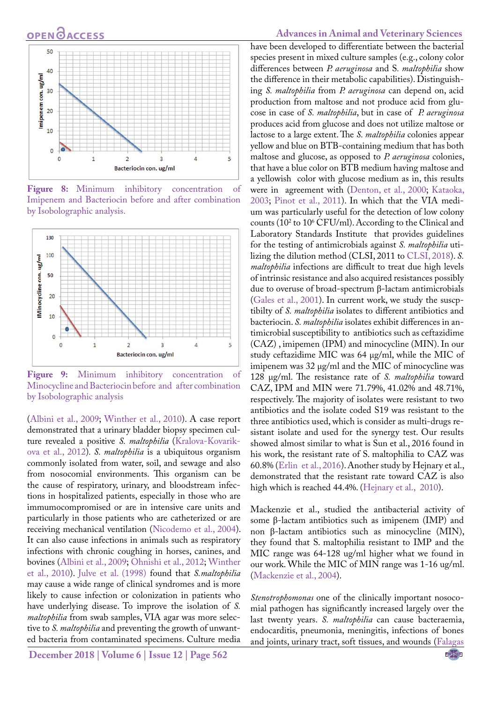# **OPEN GACCESS**



<span id="page-6-0"></span>**Figure 8:** Minimum inhibitory concentration of Imipenem and Bacteriocin before and after combination by Isobolographic analysis.



<span id="page-6-1"></span>**Figure 9:** Minimum inhibitory concentration of Minocycline and Bacteriocin before and after combination by Isobolographic analysis

[\(Albini et al., 2009;](#page-9-2) Winther et al., 2010). A case report demonstrated that a urinary bladder biopsy specimen culture revealed a positive *S. maltophilia* [\(Kralova-Kovarik](#page-11-7)[ova et al., 2012\)](#page-11-7)*. S. maltophilia* is a ubiquitous organism commonly isolated from water, soil, and sewage and also from nosocomial environments. This organism can be the cause of respiratory, urinary, and bloodstream infections in hospitalized patients, especially in those who are immumocompromised or are in intensive care units and particularly in those patients who are catheterized or are receiving mechanical ventilation ([Nicodemo et al., 2004](#page-11-8)). It can also cause infections in animals such as respiratory infections with chronic coughing in horses, canines, and bovines [\(Albini et al., 2009;](#page-9-2) [Ohnishi et al., 2012](#page-11-9); Winther et al., 2010). [Julve et al. \(1998\)](#page-11-10) found that *S.maltophilia* may cause a wide range of clinical syndromes and is more likely to cause infection or colonization in patients who have underlying disease. To improve the isolation of *S. maltophilia* from swab samples, VIA agar was more selective to *S. maltophilia* and preventing the growth of unwanted bacteria from contaminated specimens. Culture media

**December 2018 | Volume 6 | Issue 12 | Page 562**

#### **Advances in Animal and Veterinary Sciences**

have been developed to differentiate between the bacterial species present in mixed culture samples (e.g., colony color differences between *P. aeruginosa* and S*. maltophilia* show the difference in their metabolic capabilities). Distinguishing *S. maltophilia* from *P. aeruginosa* can depend on, acid production from maltose and not produce acid from glucose in case of *S. maltophilia*, but in case of *P. aeruginosa* produces acid from glucose and does not utilize maltose or lactose to a large extent. The *S. maltophilia* colonies appear yellow and blue on BTB-containing medium that has both maltose and glucose, as opposed to *P. aeruginosa* colonies, that have a blue color on BTB medium having maltose and a yellowish color with glucose medium as in, this results were in agreement with ([Denton, et al., 2000;](#page-10-0) [Kataoka,](#page-11-11)  [2003](#page-11-11); Pinot et al., 2011). In which that the VIA medium was particularly useful for the detection of low colony counts (102 to 106 CFU/ml). According to the Clinical and Laboratory Standards Institute that provides guidelines for the testing of antimicrobials against *S. maltophilia* utilizing the dilution method (CLSI, 2011 to [CLSI, 2018\)](#page-10-2). *S. maltophilia* infections are difficult to treat due high levels of intrinsic resistance and also acquired resistances possibly due to overuse of broad-spectrum β-lactam antimicrobials ([Gales et al., 2001\)](#page-10-1). In current work, we study the suscptibilty of *S. maltophilia* isolates to different antibiotics and bacteriocin. *S. maltophilia* isolates exhibit differences in antimicrobial susceptibility to antibiotics such as ceftazidime (CAZ) , imipemen (IPM) and minocycline (MIN). In our study ceftazidime MIC was 64 μg/ml, while the MIC of imipenem was 32 μg/ml and the MIC of minocycline was 128 μg/ml. The resistance rate of *S. maltophilia* toward CAZ, IPM and MIN were 71.79%, 41.02% and 48.71%, respectively. The majority of isolates were resistant to two antibiotics and the isolate coded S19 was resistant to the three antibiotics used, which is consider as multi-drugs resistant isolate and used for the synergy test. Our results showed almost similar to what is Sun et al., 2016 found in his work, the resistant rate of S. maltophilia to CAZ was 60.8% ([Erlin et al., 2016](#page-10-8)). Another study by Hejnary et al., demonstrated that the resistant rate toward CAZ is also high which is reached 44.4%. [\(Hejnary et al., 2010](#page-11-12)).

Mackenzie et al., studied the antibacterial activity of some β-lactam antibiotics such as imipenem (IMP) and non β-lactam antibiotics such as minocycline (MIN), they found that S. maltophilia resistant to IMP and the MIC range was 64-128 ug/ml higher what we found in our work. While the MIC of MIN range was 1-16 ug/ml. ([Mackenzie et al., 2004](#page-11-13)).

*Stenotrophomonas* one of the clinically important nosocomial pathogen has significantly increased largely over the last twenty years. *S. maltophilia* can cause bacteraemia, endocarditis, pneumonia, meningitis, infections of bones and joints, urinary tract, soft tissues, and wounds [\(Falagas](#page-10-9) 

NE**X**US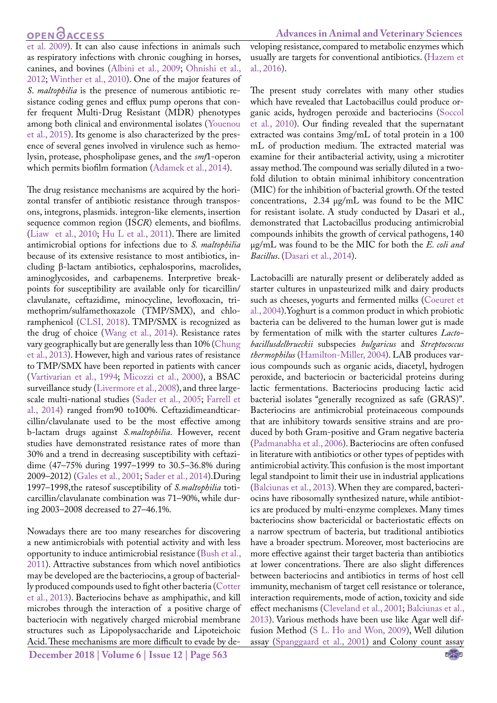**Advances in Animal and Veterinary Sciences**

[et al. 2009\)](#page-10-9). It can also cause infections in animals such as respiratory infections with chronic coughing in horses, canines, and bovines ([Albini et al., 2009](#page-9-2); [Ohnishi et al.,](#page-11-9) [2012;](#page-11-9) Winther et al., 2010). One of the major features of *S*. *maltophilia* is the presence of numerous antibiotic resistance coding genes and efflux pump operons that confer frequent Multi-Drug Resistant (MDR) phenotypes among both clinical and environmental isolates (Youenou et al., 2015). Its genome is also characterized by the presence of several genes involved in virulence such as hemolysin, protease, phospholipase genes, and the *smf*1-operon which permits biofilm formation [\(Adamek et al., 2014\)](#page-9-3).

The drug resistance mechanisms are acquired by the horizontal transfer of antibiotic resistance through transposons, integrons, plasmids. integron-like elements, insertion sequence common region (IS*CR*) elements, and biofilms. [\(Liaw et al., 2010](#page-11-14); [Hu L et al., 2011](#page-11-15)). There are limited antimicrobial options for infections due to *S. maltophilia*  because of its extensive resistance to most antibiotics, including β-lactam antibiotics, cephalosporins, macrolides, aminoglycosides, and carbapenems. Interpretive breakpoints for susceptibility are available only for ticarcillin/ clavulanate, ceftazidime, minocycline, levofloxacin, trimethoprim/sulfamethoxazole (TMP/SMX), and chloramphenicol [\(CLSI, 2018](#page-10-2)). TMP/SMX is recognized as the drug of choice ([Wang et al., 2014](#page-12-4)). Resistance rates vary geographically but are generally less than 10% [\(Chung](#page-10-10) [et al., 2013\)](#page-10-10). However, high and various rates of resistance to TMP/SMX have been reported in patients with cancer ([Vartivarian et al., 1994](#page-12-5); [Micozzi et al., 2000\)](#page-11-16), a BSAC surveillance study ([Livermore et al., 2008](#page-11-17)), and three largescale multi-national studies [\(Sader et al., 2005](#page-12-6); [Farrell et](#page-10-11) [al., 2014\)](#page-10-11) ranged from90 to100%. Ceftazidimeandticarcillin/clavulanate used to be the most effective among b-lactam drugs against *S.maltophilia*. However, recent studies have demonstrated resistance rates of more than 30% and a trend in decreasing susceptibility with ceftazidime (47–75% during 1997–1999 to 30.5–36.8% during 2009–2012) (Gales et al., 2001; [Sader et al., 2014\)](#page-12-6).During 1997–1998,the ratesof susceptibility of *S.maltophilia* toticarcillin/clavulanate combination was 71–90%, while during 2003–2008 decreased to 27–46.1%.

**December 2018 | Volume 6 | Issue 12 | Page 563** Nowadays there are too many researches for discovering a new antimicrobials with potential activity and with less opportunity to induce antimicrobial resistance [\(Bush et al.,](#page-10-12) [2011\)](#page-10-12). Attractive substances from which novel antibiotics may be developed are the bacteriocins, a group of bacterially produced compounds used to fight other bacteria ([Cotter](#page-10-4) [et al., 2013\)](#page-10-4). Bacteriocins behave as amphipathic, and kill microbes through the interaction of a positive charge of bacteriocin with negatively charged microbial membrane structures such as Lipopolysaccharide and Lipoteichoic Acid. These mechanisms are more difficult to evade by developing resistance, compared to metabolic enzymes which usually are targets for conventional antibiotics. (Hazem et al., 2016).

The present study correlates with many other studies which have revealed that Lactobacillus could produce organic acids, hydrogen peroxide and bacteriocins ([Soccol](#page-12-7)  [et al., 2010](#page-12-7)). Our finding revealed that the supernatant extracted was contains 3mg/mL of total protein in a 100 mL of production medium. The extracted material was examine for their antibacterial activity, using a microtiter assay method. The compound was serially diluted in a twofold dilution to obtain minimal inhibitory concentration (MIC) for the inhibition of bacterial growth. Of the tested concentrations, 2.34 μg/mL was found to be the MIC for resistant isolate. A study conducted by Dasari et al., demonstrated that Lactobacillus producing antimicrobial compounds inhibits the growth of cervical pathogens, 140 μg/mL was found to be the MIC for both the *E. coli and Bacillus*. [\(Dasari et al., 2014](#page-10-6)).

Lactobacilli are naturally present or deliberately added as starter cultures in unpasteurized milk and dairy products such as cheeses, yogurts and fermented milks [\(Coeuret et](#page-10-13)  [al., 2004\)](#page-10-13).Yoghurt is a common product in which probiotic bacteria can be delivered to the human lower gut is made by fermentation of milk with the starter cultures *Lactobacillusdelbrueckii* subspecies *bulgaricus* and *Streptococcus thermophilus* ([Hamilton-Miller, 2004\)](#page-11-18). LAB produces various compounds such as organic acids, diacetyl, hydrogen peroxide, and bacteriocin or bactericidal proteins during lactic fermentations. Bacteriocins producing lactic acid bacterial isolates "generally recognized as safe (GRAS)". Bacteriocins are antimicrobial proteinaceous compounds that are inhibitory towards sensitive strains and are produced by both Gram-positive and Gram negative bacteria ([Padmanabha et al., 2006\)](#page-11-19). Bacteriocins are often confused in literature with antibiotics or other types of peptides with antimicrobial activity. This confusion is the most important legal standpoint to limit their use in industrial applications ([Balciunas et al., 2013\)](#page-10-14). When they are compared, bacteriocins have ribosomally synthesized nature, while antibiotics are produced by multi-enzyme complexes. Many times bacteriocins show bactericidal or bacteriostatic effects on a narrow spectrum of bacteria, but traditional antibiotics have a broader spectrum. Moreover, most bacteriocins are more effective against their target bacteria than antibiotics at lower concentrations. There are also slight differences between bacteriocins and antibiotics in terms of host cell immunity, mechanism of target cell resistance or tolerance, interaction requirements, mode of action, toxicity and side effect mechanisms [\(Cleveland et al., 2001](#page-10-15); [Balciunas et al.,](#page-10-14)  [2013](#page-10-14)). Various methods have been use like Agar well diffusion Method ([S L. Ho and Won, 2009\)](#page-12-8), Well dilution assay [\(Spanggaard et al., 2001](#page-12-9)) and Colony count assay

NE**X**US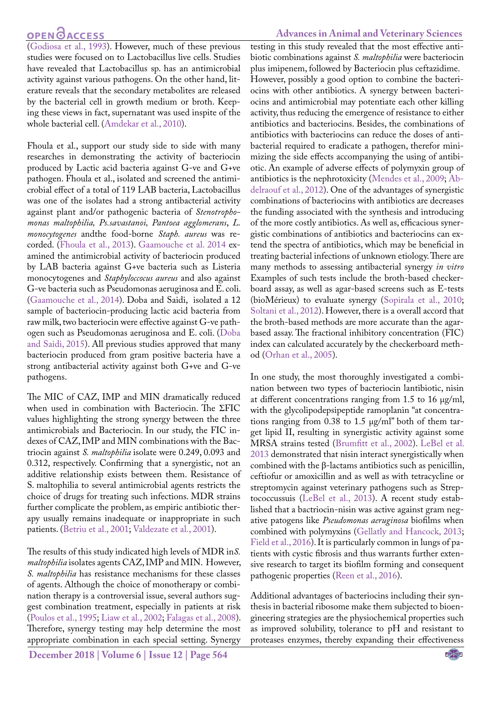# **OPEN**<sub>d</sub>

(Godiosa et al., 1993). However, much of these previous studies were focused on to Lactobacillus live cells. Studies have revealed that Lactobacillus sp. has an antimicrobial activity against various pathogens. On the other hand, literature reveals that the secondary metabolites are released by the bacterial cell in growth medium or broth. Keeping these views in fact, supernatant was used inspite of the whole bacterial cell. [\(Amdekar et al., 2010](#page-9-4)).

Fhoula et al., support our study side to side with many researches in demonstrating the activity of bacteriocin produced by Lactic acid bacteria against G-ve and G+ve pathogen. Fhoula et al., isolated and screened the antimicrobial effect of a total of 119 LAB bacteria, Lactobacillus was one of the isolates had a strong antibacterial activity against plant and/or pathogenic bacteria of *Stenotrophomonas maltophilia, Ps.savastanoi, Pantoea agglomerans*, *L. monocytogenes* andthe food-borne *Staph. aureus* was recorded. ([Fhoula et al., 2013\)](#page-10-16). [Gaamouche et al. 2014](#page-10-17) examined the antimicrobial activity of bacteriocin produced by LAB bacteria against G+ve bacteria such as Listeria monocytogenes and *Staphyloccocus aureus* and also against G-ve bacteria such as Pseudomonas aeruginosa and E. coli. [\(Gaamouche et al., 2014\)](#page-10-17). Doba and Saidi, isolated a 12 sample of bacteriocin-producing lactic acid bacteria from raw milk, two bacteriocin were effective against G-ve pathogen such as Pseudomonas aeruginosa and E. coli. [\(Doba](#page-10-18) [and Saidi, 2015](#page-10-18)). All previous studies approved that many bacteriocin produced from gram positive bacteria have a strong antibacterial activity against both G+ve and G-ve pathogens.

The MIC of CAZ, IMP and MIN dramatically reduced when used in combination with Bacteriocin. The ΣFIC values highlighting the strong synergy between the three antimicrobials and Bacteriocin. In our study, the FIC indexes of CAZ, IMP and MIN combinations with the Bactriocin against *S. maltophilia* isolate were 0.249, 0.093 and 0.312, respectively. Confirming that a synergistic, not an additive relationship exists between them. Resistance of S. maltophilia to several antimicrobial agents restricts the choice of drugs for treating such infections. MDR strains further complicate the problem, as empiric antibiotic therapy usually remains inadequate or inappropriate in such patients. ([Betriu et al., 2001](#page-10-19); [Valdezate et al., 2001](#page-12-10)).

The results of this study indicated high levels of MDR in*S. maltophilia* isolates agents CAZ, IMP and MIN. However, *S. maltophilia* has resistance mechanisms for these classes of agents. Although the choice of monotherapy or combination therapy is a controversial issue, several authors suggest combination treatment, especially in patients at risk [\(Poulos et al., 1995](#page-11-20); [Liaw et al., 2002](#page-11-14); [Falagas et al., 2008](#page-10-20)). Therefore, synergy testing may help determine the most appropriate combination in each special setting. Synergy

**December 2018 | Volume 6 | Issue 12 | Page 564**

#### **Advances in Animal and Veterinary Sciences**

testing in this study revealed that the most effective antibiotic combinations against *S. maltophilia* were bacteriocin plus imipenem, followed by Bacteriocin plus ceftazidime. However, possibly a good option to combine the bacteriocins with other antibiotics. A synergy between bacteriocins and antimicrobial may potentiate each other killing activity, thus reducing the emergence of resistance to either antibiotics and bacteriocins. Besides, the combinations of antibiotics with bacteriocins can reduce the doses of antibacterial required to eradicate a pathogen, therefor minimizing the side effects accompanying the using of antibiotic. An example of adverse effects of polymyxin group of antibiotics is the nephrotoxicity ([Mendes et al., 2009](#page-11-5); [Ab](#page-9-0)[delraouf et al., 2012](#page-9-0)). One of the advantages of synergistic combinations of bacteriocins with antibiotics are decreases the funding associated with the synthesis and introducing of the more costly antibiotics. As well as, efficacious synergistic combinations of antibiotics and bacteriocins can extend the spectra of antibiotics, which may be beneficial in treating bacterial infections of unknown etiology. There are many methods to assessing antibacterial synergy *in vitro* Examples of such tests include the broth-based checkerboard assay, as well as agar-based screens such as E-tests (bioMérieux) to evaluate synergy ([Sopirala et al., 2010](#page-12-0); [Soltani et al., 2012\)](#page-12-1). However, there is a overall accord that the broth-based methods are more accurate than the agarbased assay. The fractional inhibitory concentration (FIC) index can calculated accurately by the checkerboard method ([Orhan et al., 2005](#page-11-21)).

In one study, the most thoroughly investigated a combination between two types of bacteriocin lantibiotic, nisin at different concentrations ranging from 1.5 to 16 μg/ml, with the glycolipodepsipeptide ramoplanin "at concentrations ranging from 0.38 to 1.5 μg/ml" both of them target lipid II, resulting in synergistic activity against some MRSA strains tested [\(Brumfitt et al., 2002](#page-10-21)). LeBel et al. 2013 demonstrated that nisin interact synergistically when combined with the β-lactams antibiotics such as penicillin, ceftiofur or amoxicillin and as well as with tetracycline or streptomycin against veterinary pathogens such as Streptococcussuis (LeBel et al., 2013). A recent study established that a bactriocin-nisin was active against gram negative patogens like *Pseudomonas aeruginosa* biofilms when combined with polymyxins ([Gellatly and Hancock, 2013](#page-10-22); [Field et al., 2016](#page-10-23)). It is particularly common in lungs of patients with cystic fibrosis and thus warrants further extensive research to target its biofilm forming and consequent pathogenic properties (Reen et al., 2016).

Additional advantages of bacteriocins including their synthesis in bacterial ribosome make them subjected to bioengineering strategies are the physiochemical properties such as improved solubility, tolerance to pH and resistant to proteases enzymes, thereby expanding their effectiveness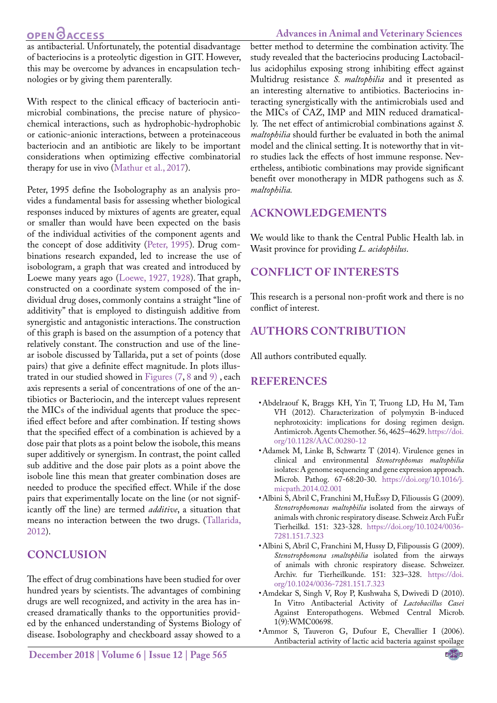# **OPEN CACCESS**

#### **Advances in Animal and Veterinary Sciences**

as antibacterial. Unfortunately, the potential disadvantage of bacteriocins is a proteolytic digestion in GIT. However, this may be overcome by advances in encapsulation technologies or by giving them parenterally.

With respect to the clinical efficacy of bacteriocin antimicrobial combinations, the precise nature of physicochemical interactions, such as hydrophobic-hydrophobic or cationic-anionic interactions, between a proteinaceous bacteriocin and an antibiotic are likely to be important considerations when optimizing effective combinatorial therapy for use in vivo ([Mathur et al., 2017\)](#page-11-22).

Peter, 1995 define the Isobolography as an analysis provides a fundamental basis for assessing whether biological responses induced by mixtures of agents are greater, equal or smaller than would have been expected on the basis of the individual activities of the component agents and the concept of dose additivity [\(Peter, 1995\)](#page-11-23). Drug combinations research expanded, led to increase the use of isobologram, a graph that was created and introduced by Loewe many years ago [\(Loewe, 1927, 1928\)](#page-11-24). That graph, constructed on a coordinate system composed of the individual drug doses, commonly contains a straight "line of additivity" that is employed to distinguish additive from synergistic and antagonistic interactions. The construction of this graph is based on the assumption of a potency that relatively constant. The construction and use of the linear isobole discussed by Tallarida, put a set of points (dose pairs) that give a definite effect magnitude. In plots illustrated in our studied showed in [Figures \(7,](#page-5-4) [8](#page-6-0) and [9\)](#page-6-1) , each axis represents a serial of concentrations of one of the antibiotics or Bacteriocin, and the intercept values represent the MICs of the individual agents that produce the specified effect before and after combination. If testing shows that the specified effect of a combination is achieved by a dose pair that plots as a point below the isobole, this means super additively or synergism. In contrast, the point called sub additive and the dose pair plots as a point above the isobole line this mean that greater combination doses are needed to produce the specified effect. While if the dose pairs that experimentally locate on the line (or not significantly off the line) are termed *additive*, a situation that means no interaction between the two drugs. ([Tallarida,](#page-12-11) [2012\)](#page-12-11).

# **CONCLUSION**

The effect of drug combinations have been studied for over hundred years by scientists. The advantages of combining drugs are well recognized, and activity in the area has increased dramatically thanks to the opportunities provided by the enhanced understanding of Systems Biology of disease. Isobolography and checkboard assay showed to a

**December 2018 | Volume 6 | Issue 12 | Page 565**

better method to determine the combination activity. The study revealed that the bacteriocins producing Lactobacillus acidophilus exposing strong inhibiting effect against Multidrug resistance *S. maltophilia* and it presented as an interesting alternative to antibiotics. Bacteriocins interacting synergistically with the antimicrobials used and the MICs of CAZ, IMP and MIN reduced dramatically. The net effect of antimicrobial combinations against *S. maltophilia* should further be evaluated in both the animal model and the clinical setting. It is noteworthy that in vitro studies lack the effects of host immune response. Nevertheless, antibiotic combinations may provide significant benefit over monotherapy in MDR pathogens such as *S. maltophilia.*

# **ACKNOWLEDGEMENTS**

We would like to thank the Central Public Health lab. in Wasit province for providing *L. acidophilus*.

# **CONFLICT OF INTERESTS**

This research is a personal non-profit work and there is no conflict of interest.

# **authors contribution**

All authors contributed equally.

## **References**

- <span id="page-9-0"></span>• Abdelraouf K, Braggs KH, Yin T, Truong LD, Hu M, Tam VH (2012). Characterization of polymyxin B-induced nephrotoxicity: implications for dosing regimen design. Antimicrob. Agents Chemother. 56, 4625–4629. [https://doi.](https://doi.org/10.1128/AAC.00280-12 ) [org/10.1128/AAC.00280-12](https://doi.org/10.1128/AAC.00280-12 )
- <span id="page-9-3"></span>• Adamek M, Linke B, Schwartz T (2014). Virulence genes in clinical and environmental *Stenotrophomas maltophilia* isolates: A genome sequencing and gene expression approach. Microb. Pathog. 67-68:20-30. [https://doi.org/10.1016/j.](https://doi.org/10.1016/j.micpath.2014.02.001 ) [micpath.2014.02.001](https://doi.org/10.1016/j.micpath.2014.02.001 )
- • Albini S, Abril C, Franchini M, HuÈssy D, Filioussis G (2009). *Stenotrophomonas maltophilia* isolated from the airways of animals with chronic respiratory disease. Schweiz Arch FuÈr Tierheilkd. 151: 323-328. [https://doi.org/10.1024/0036-](https://doi.org/10.1024/0036-7281.151.7.323 ) [7281.151.7.323](https://doi.org/10.1024/0036-7281.151.7.323 )
- <span id="page-9-2"></span>• Albini S, Abril C, Franchini M, Hussy D, Filipoussis G (2009). *Stenotrophomona smaltophilia* isolated from the airways of animals with chronic respiratory disease. Schweizer. Archiv. fur Tierheilkunde. 151: 323–328. [https://doi.](https://doi.org/10.1024/0036-7281.151.7.323 ) [org/10.1024/0036-7281.151.7.323](https://doi.org/10.1024/0036-7281.151.7.323 )
- <span id="page-9-4"></span>• Amdekar S, Singh V, Roy P, Kushwaha S, Dwivedi D (2010). In Vitro Antibacterial Activity of *Lactobacillus Casei* Against Enteropathogens. Webmed Central Microb. 1(9):WMC00698.
- <span id="page-9-1"></span>• Ammor S, Tauveron G, Dufour E, Chevallier I (2006). Antibacterial activity of lactic acid bacteria against spoilage

NE**X**US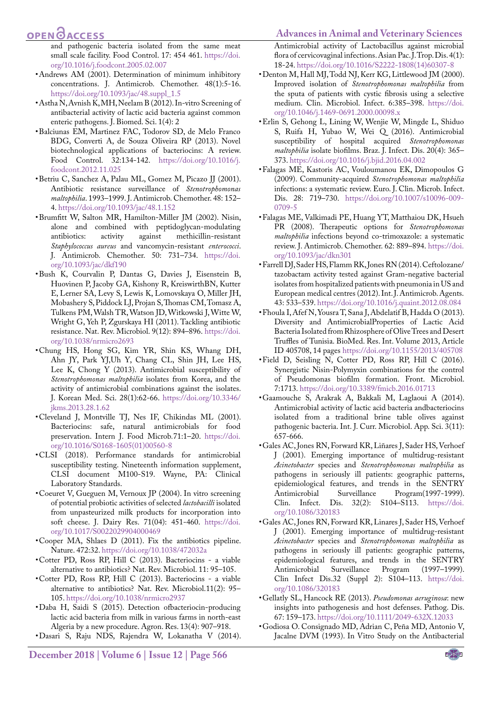#### **Advances in Animal and Veterinary Sciences**

## **OPEN**OACCESS

and pathogenic bacteria isolated from the same meat small scale facility. Food Control. 17: 454 461. [https://doi.](https://doi.org/10.1016/j.foodcont.2005.02.007 ) [org/10.1016/j.foodcont.2005.02.007](https://doi.org/10.1016/j.foodcont.2005.02.007 )

- <span id="page-10-7"></span>• Andrews AM (2001). Determination of minimum inhibitory concentrations. J. Antimicrob. Chemother. 48(1):5-16. [https://doi.org/10.1093/jac/48.suppl\\_1.5](https://doi.org/10.1093/jac/48.suppl_1.5 )
- <span id="page-10-5"></span>• Astha N, Avnish K, MH, Neelam B (2012). In-vitro Screening of antibacterial activity of lactic acid bacteria against common enteric pathogens. J. Biomed. Sci. 1(4): 2
- <span id="page-10-14"></span>• Balciunas EM, Martinez FAC, Todorov SD, de Melo Franco BDG, Converti A, de Souza Oliveira RP (2013). Novel biotechnological applications of bacteriocins: A review. Food Control. 32:134-142. [https://doi.org/10.1016/j.](https://doi.org/10.1016/j.foodcont.2012.11.025 ) [foodcont.2012.11.025](https://doi.org/10.1016/j.foodcont.2012.11.025 )
- <span id="page-10-19"></span>• Betriu C, Sanchez A, Palau ML, Gomez M, Picazo JJ (2001). Antibiotic resistance surveillance of *Stenotrophomonas maltophilia*. 1993–1999. J. Antimicrob. Chemother. 48: 152– 4. [https://doi.org/10.1093/jac/48.1.152](https://doi.org/10.1093/jac/48.1.152 )
- <span id="page-10-21"></span>• Brumfitt W, Salton MR, Hamilton-Miller JM (2002). Nisin, alone and combined with peptidoglycan-modulating antibiotics: activity against methicillin-resistant *Staphylococcus aureus* and vancomycin-resistant *enterococci*. J. Antimicrob. Chemother. 50: 731–734. [https://doi.](https://doi.org/10.1093/jac/dkf190 ) [org/10.1093/jac/dkf190](https://doi.org/10.1093/jac/dkf190 )
- <span id="page-10-12"></span>• Bush K, Courvalin P, Dantas G, Davies J, Eisenstein B, Huovinen P, Jacoby GA, Kishony R, KreiswirthBN, Kutter E, Lerner SA, Levy S, Lewis K, Lomovskaya O, Miller JH, Mobashery S, Piddock LJ, Projan S, Thomas CM, Tomasz A, Tulkens PM, Walsh TR, Watson JD, Witkowski J, Witte W, Wright G, Yeh P, Zgurskaya HI (2011). Tackling antibiotic resistance. Nat. Rev. Microbiol. 9(12): 894–896. [https://doi.](https://doi.org/10.1038/nrmicro2693 ) [org/10.1038/nrmicro2693](https://doi.org/10.1038/nrmicro2693 )
- <span id="page-10-10"></span>• Chung HS, Hong SG, Kim YR, Shin KS, Whang DH, Ahn JY, Park YJ,Uh Y, Chang CL, Shin JH, Lee HS, Lee K, Chong Y (2013). Antimicrobial susceptibility of *Stenotrophomonas maltophilia* isolates from Korea, and the activity of antimicrobial combinations against the isolates. J. Korean Med. Sci. 28(1):62-66. [https://doi.org/10.3346/](https://doi.org/10.3346/jkms.2013.28.1.62 ) [jkms.2013.28.1.62](https://doi.org/10.3346/jkms.2013.28.1.62 )
- <span id="page-10-15"></span>• Cleveland J, Montville TJ, Nes IF, Chikindas ML (2001). Bacteriocins: safe, natural antimicrobials for food preservation. Intern J. Food Microb*.*71:1–20. [https://doi.](https://doi.org/10.1016/S0168-1605(01)00560-8 ) [org/10.1016/S0168-1605\(01\)00560-8](https://doi.org/10.1016/S0168-1605(01)00560-8 )
- <span id="page-10-2"></span>• CLSI (2018). Performance standards for antimicrobial susceptibility testing. Nineteenth information supplement, CLSI document M100-S19. Wayne, PA: Clinical Laboratory Standards.
- <span id="page-10-13"></span>• Coeuret V, Gueguen M, Vernoux JP (2004). In vitro screening of potential probiotic activities of selected *lactobacilli* isolated from unpasteurized milk products for incorporation into soft cheese. J. Dairy Res. 71(04): 451-460. [https://doi.](https://doi.org/10.1017/S0022029904000469 ) [org/10.1017/S0022029904000469](https://doi.org/10.1017/S0022029904000469 )
- <span id="page-10-3"></span>• Cooper MA, Shlaes D (2011). Fix the antibiotics pipeline. Nature. 472:32. <https://doi.org/10.1038/472032a>
- <span id="page-10-4"></span>• Cotter PD, Ross RP, Hill C (2013). Bacteriocins - a viable alternative to antibiotics? Nat. Rev. Microbiol. 11: 95–105.
- • Cotter PD, Ross RP, Hill C (2013). Bacteriocins a viable alternative to antibiotics? Nat. Rev. Microbiol.11(2): 95– 105. [https://doi.org/10.1038/nrmicro2937](https://doi.org/10.1038/nrmicro2937 )
- <span id="page-10-18"></span>• Daba H, Saidi S (2015). Detection ofbacteriocin-producing lactic acid bacteria from milk in various farms in north-east Algeria by a new procedure. Agron. Res. 13(4): 907–918.
- <span id="page-10-6"></span>• Dasari S, Raju NDS, Rajendra W, Lokanatha V (2014).

Antimicrobial activity of Lactobacillus against microbial flora of cervicovaginal infections. Asian Pac. J. Trop. Dis. 4(1): 18-24. [https://doi.org/10.1016/S2222-1808\(14\)60307-8](https://doi.org/10.1016/S2222-1808(14)60307-8 )

- <span id="page-10-0"></span>• Denton M, Hall MJ, Todd NJ, Kerr KG, Littlewood JM (2000). Improved isolation of *Stenotrophomonas maltophilia* from the sputa of patients with cystic fibrosis using a selective medium. Clin. Microbiol. Infect. 6:385–398. [https://doi.](https://doi.org/10.1046/j.1469-0691.2000.00098.x ) [org/10.1046/j.1469-0691.2000.00098.x](https://doi.org/10.1046/j.1469-0691.2000.00098.x )
- <span id="page-10-8"></span>• Erlin S, Gehong L, Lining W, Wenjie W, Mingde L, Shiduo S, Ruifa H, Yubao W, Wei Q (2016). Antimicrobial susceptibility of hospital acquired *Stenotrophomonas maltophilia* isolate biofilms. Braz. J. Infect. Dis. 20(4): 365– 373. [https://doi.org/10.1016/j.bjid.2016.04.002](https://doi.org/10.1016/j.bjid.2016.04.002 )
- <span id="page-10-9"></span>• Falagas ME, Kastoris AC, Vouloumanou EK, Dimopoulos G (2009). Community-acquired *Stenotrophomonas maltophilia* infections: a systematic review. Euro. J. Clin. Microb. Infect. Dis. 28: 719–730. [https://doi.org/10.1007/s10096-009-](https://doi.org/10.1007/s10096-009-0709-5 ) [0709-5](https://doi.org/10.1007/s10096-009-0709-5 )
- <span id="page-10-20"></span>• Falagas ME, Valkimadi PE, Huang YT, Matthaiou DK, Hsueh PR (2008). Therapeutic options for *Stenotrophomonas maltophilia* infections beyond co-trimoxazole: a systematic review. J. Antimicrob. Chemother. 62: 889–894[. https://doi.]( https://doi.org/10.1093/jac/dkn301 ) [org/10.1093/jac/dkn301]( https://doi.org/10.1093/jac/dkn301 )
- <span id="page-10-11"></span>• Farrell DJ, Sader HS, Flamm RK, Jones RN (2014). Ceftolozane/ tazobactam activity tested against Gram-negative bacterial isolates from hospitalized patients with pneumonia in US and European medical centres (2012). Int. J. Antimicrob. Agents. 43: 533–539. [https://doi.org/10.1016/j.quaint.2012.08.084](https://doi.org/10.1016/j.quaint.2012.08.084 )
- <span id="page-10-16"></span>• Fhoula I, Afef N, Yousra T, Sana J, Abdelatif B, Hadda O (2013). Diversity and AntimicrobialProperties of Lactic Acid Bacteria Isolated from Rhizosphere of Olive Trees and Desert Truffles of Tunisia. BioMed. Res. Int. Volume 2013, Article ID 405708, 14 pages [https://doi.org/10.1155/2013/405708](https://doi.org/10.1155/2013/405708 )
- <span id="page-10-23"></span>• Field D, Seisling N, Cotter PD, Ross RP, Hill C (2016). Synergistic Nisin-Polymyxin combinations for the control of Pseudomonas biofilm formation. Front. Microbiol. 7:1713. [https://doi.org/10.3389/fmicb.2016.01713](https://doi.org/10.3389/fmicb.2016.01713  )
- <span id="page-10-17"></span>• Gaamouche S, Arakrak A, Bakkali M, Laglaoui A (2014). Antimicrobial activity of lactic acid bacteria andbacteriocins isolated from a traditional brine table olives against pathogenic bacteria. Int. J. Curr. Microbiol. App. Sci. 3(11): 657-666.
- • Gales AC, Jones RN, Forward KR, Liñares J, Sader HS, Verhoef J (2001). Emerging importance of multidrug-resistant *Acinetobacter* species and *Stenotrophomonas maltophilia* as pathogens in seriously ill patients: geographic patterns, epidemiological features, and trends in the SENTRY Antimicrobial Surveillance Program(1997-1999). Clin. Infect. Dis. 32(2): S104–S113. [https://doi.](https://doi.org/10.1086/320183 ) [org/10.1086/320183](https://doi.org/10.1086/320183 )
- <span id="page-10-1"></span>• Gales AC, Jones RN, Forward KR, Linares J, Sader HS, Verhoef J (2001). Emerging importance of multidrug-resistant *Acinetobacter* species and *Stenotrophomonas maltophilia* as pathogens in seriously ill patients: geographic patterns, epidemiological features, and trends in the SENTRY Antimicrobial Clin Infect Dis.32 (Suppl 2): S104–113. [https://doi.](https://doi.org/10.1086/320183 ) [org/10.1086/320183](https://doi.org/10.1086/320183 )
- <span id="page-10-22"></span>• Gellatly SL, Hancock RE (2013). *Pseudomonas aeruginosa*: new insights into pathogenesis and host defenses. Pathog. Dis. 67: 159–173. [https://doi.org/10.1111/2049-632X.12033](https://doi.org/10.1111/2049-632X.12033 )
- • Godiosa O. Consignado MD, Adrian C, Peña MD, Antonio V, Jacalne DVM (1993). In Vitro Study on the Antibacterial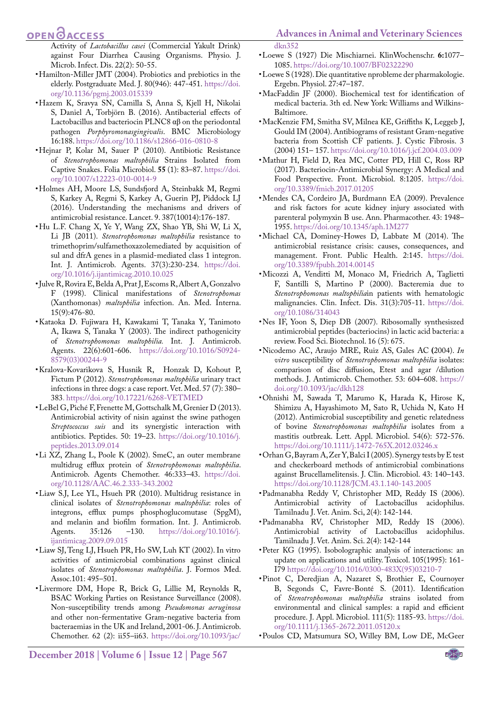Activity of *Lactobacillus casei* (Commercial Yakult Drink) against Four Diarrhea Causing Organisms. Physio. J. Microb. Infect. Dis. 22(2): 50-55.

- <span id="page-11-18"></span>• Hamilton-Miller JMT (2004). Probiotics and prebiotics in the elderly. Postgraduate Med. J. 80(946): 447-451. [https://doi.](https://doi.org/10.1136/pgmj.2003.015339 ) [org/10.1136/pgmj.2003.015339](https://doi.org/10.1136/pgmj.2003.015339 )
- • Hazem K, Sravya SN, Camilla S, Anna S, Kjell H, Nikolai S, Daniel A, Torbjörn B. (2016). Antibacterial effects of Lactobacillus and bacteriocin PLNC8 αβ on the periodontal pathogen *Porphyromonasgingivalis*. BMC Microbiology 16:188. [https://doi.org/10.1186/s12866-016-0810-8](https://doi.org/10.1186/s12866-016-0810-8 )
- <span id="page-11-12"></span>• Hejnar P, Kolar M, Sauer P (2010). Antibiotic Resistance of *Stenotrophomonas maltophilia* Strains Isolated from Captive Snakes. Folia Microbiol. **55** (1): 83–87. [https://doi.](https://doi.org/10.1007/s12223-010-0014-9 ) [org/10.1007/s12223-010-0014-9](https://doi.org/10.1007/s12223-010-0014-9 )
- <span id="page-11-2"></span>• Holmes AH, Moore LS, Sundsfjord A, Steinbakk M, Regmi S, Karkey A, Regmi S, Karkey A, Guerin PJ, Piddock LJ (2016). Understanding the mechanisms and drivers of antimicrobial resistance. Lancet. 9. 387(10014):176-187.
- <span id="page-11-15"></span>• Hu L.F. Chang X, Ye Y, Wang ZX, Shao YB, Shi W, Li X, Li JB (2011). *Stenotrophomonas maltophilia* resistance to trimethoprim/sulfamethoxazolemediated by acquisition of sul and dfrA genes in a plasmid-mediated class 1 integron. Int. J. Antimicrob. Agents. 37(3):230-234. [https://doi.](https://doi.org/10.1016/j.ijantimicag.2010.10.025 ) [org/10.1016/j.ijantimicag.2010.10.025](https://doi.org/10.1016/j.ijantimicag.2010.10.025 )
- <span id="page-11-10"></span>• Julve R, Rovira E, Belda A, Prat J, Escoms R, Albert A, Gonzalvo F (1998). Clinical manifestations of *Stenotrophomas* (Xanthomonas) *maltophilia* infection. An. Med. Interna. 15(9):476-80.
- <span id="page-11-11"></span>• Kataoka D. Fujiwara H, Kawakami T, Tanaka Y, Tanimoto A, Ikawa S, Tanaka Y (2003). The indirect pathogenicity of *Stenotrophomonas maltophilia.* Int. J. Antimicrob. Agents. 22(6):601-606. [https://doi.org/10.1016/S0924-](https://doi.org/10.1016/S0924-8579(03)00244-9 ) [8579\(03\)00244-9](https://doi.org/10.1016/S0924-8579(03)00244-9 )
- <span id="page-11-7"></span>• Kralova-Kovarikova S, Husnik R, Honzak D, Kohout P, Fictum P (2012). *Stenotrophomonas maltophilia* urinary tract infections in three dogs: a case report. Vet. Med. 57 (7): 380– 38[3. https://doi.org/10.17221/6268-VETMED](. https://doi.org/10.17221/6268-VETMED )
- • LeBel G, Piché F, Frenette M, Gottschalk M, Grenier D (2013). Antimicrobial activity of nisin against the swine pathogen *Streptococcus suis* and its synergistic interaction with antibiotics. Peptides. 50: 19–23. [https://doi.org/10.1016/j.](https://doi.org/10.1016/j.peptides.2013.09.014 ) [peptides.2013.09.014](https://doi.org/10.1016/j.peptides.2013.09.014 )
- <span id="page-11-0"></span>• Li XZ, Zhang L, Poole K (2002). SmeC, an outer membrane multidrug efflux protein of *Stenotrophomonas maltophilia*. Antimicrob. Agents Chemother. 46:333–43. [https://doi.](https://doi.org/10.1128/AAC.46.2.333-343.2002 ) [org/10.1128/AAC.46.2.333-343.2002](https://doi.org/10.1128/AAC.46.2.333-343.2002 )
- • Liaw S.J, Lee YL, Hsueh PR (2010). Multidrug resistance in clinical isolates of *Stenotrophomonas maltophilia*: roles of integrons, efflux pumps phosphoglucomutase (SpgM), and melanin and biofilm formation. Int. J. Antimicrob.<br>Agents. 35:126 -130. https://doi.org/10.1016/j. Agents. 35:126 –130. [https://doi.org/10.1016/j.](https://doi.org/10.1016/j.ijantimicag.2009.09.015 ) [ijantimicag.2009.09.015](https://doi.org/10.1016/j.ijantimicag.2009.09.015 )
- <span id="page-11-14"></span>• Liaw SJ, Teng LJ, Hsueh PR, Ho SW, Luh KT (2002). In vitro activities of antimicrobial combinations against clinical isolates of *Stenotrophomonas maltophilia*. J. Formos Med. Assoc.101: 495–501.
- <span id="page-11-17"></span>• Livermore DM, Hope R, Brick G, Lillie M, Reynolds R, BSAC Working Parties on Resistance Surveillance (2008). Non-susceptibility trends among *Pseudomonas aeruginosa*  and other non-fermentative Gram-negative bacteria from bacteraemias in the UK and Ireland, 2001-06. J. Antimicrob. Chemother. 62 (2): ii55–ii63. [https://doi.org/10.1093/jac/](https://doi.org/10.1093/jac/dkn352 )
- <span id="page-11-24"></span>• Loewe S (1927) Die Mischiarnei. KlinWochenschr. **6:**1077– 1085. [https://doi.org/10.1007/BF02322290](https://doi.org/10.1007/BF02322290 )
- • Loewe S (1928). Die quantitative nprobleme der pharmakologie. Ergebn. Physiol. 27:47–187.
- <span id="page-11-6"></span>• MacFaddin JF (2000). Biochemical test for identification of medical bacteria. 3th ed. New York: Williams and Wilkins-Baltimore.
- <span id="page-11-13"></span>• MacKenzie FM, Smitha SV, Milnea KE, Griffiths K, Leggeb J, Gould IM (2004). Antibiograms of resistant Gram-negative bacteria from Scottish CF patients. J. Cystic Fibrosis. 3 (2004) 151– 157. [https://doi.org/10.1016/j.jcf.2004.03.009](https://doi.org/10.1016/j.jcf.2004.03.009 )
- <span id="page-11-22"></span>• Mathur H, Field D, Rea MC, Cotter PD, Hill C, Ross RP (2017). Bacteriocin-Antimicrobial Synergy: A Medical and Food Perspective. Front. Microbiol. 8:1205. [https://doi.](https://doi.org/10.3389/fmicb.2017.01205 ) [org/10.3389/fmicb.2017.01205](https://doi.org/10.3389/fmicb.2017.01205 )
- <span id="page-11-5"></span>• Mendes CA, Cordeiro JA, Burdmann EA (2009). Prevalence and risk factors for acute kidney injury associated with parenteral polymyxin B use. Ann. Pharmacother. 43: 1948– 1955. [https://doi.org/10.1345/aph.1M277](https://doi.org/10.1345/aph.1M277 )
- <span id="page-11-1"></span>• Michael CA, Dominey-Howes D, Labbate M (2014). The antimicrobial resistance crisis: causes, consequences, and management. Front. Public Health. 2:145. [https://doi.](https://doi.org/10.3389/fpubh.2014.00145 ) [org/10.3389/fpubh.2014.00145](https://doi.org/10.3389/fpubh.2014.00145 )
- <span id="page-11-16"></span>• Micozzi A, Venditti M, Monaco M, Friedrich A, Taglietti F, Santilli S, Martino P (2000). Bacteremia due to *Stenotrophomonas maltophilia*in patients with hematologic malignancies. Clin. Infect. Dis. 31(3):705-11. [https://doi.](https://doi.org/10.1086/314043 ) [org/10.1086/314043](https://doi.org/10.1086/314043 )
- <span id="page-11-3"></span>• Nes IF, Yoon S, Diep DB (2007). Ribosomally synthesiszed antimicrobial peptides (bacteriocins) in lactic acid bacteria: a review. Food Sci. Biotechnol. 16 (5): 675.
- <span id="page-11-8"></span>• Nicodemo AC, Araujo MRE, Ruiz AS, Gales AC **(**2004). *In vitro* susceptibility of *Stenotrophomonas maltophilia* isolates: comparison of disc diffusion, Etest and agar /dilution methods. J. Antimicrob. Chemother. 53: 604–608. [https://](https://doi.org/10.1093/jac/dkh128 ) [doi.org/10.1093/jac/dkh128](https://doi.org/10.1093/jac/dkh128 )
- <span id="page-11-9"></span>• Ohnishi M, Sawada T, Marumo K, Harada K, Hirose K, Shimizu A, Hayashimoto M, Sato R, Uchida N, Kato H (2012). Antimicrobial susceptibility and genetic relatedness of bovine *Stenotrophomonas maltophilia* isolates from a mastitis outbreak. Lett. Appl. Microbiol. 54(6): 572-576. [https://doi.org/10.1111/j.1472-765X.2012.03246.x](https://doi.org/10.1111/j.1472-765X.2012.03246.x )
- <span id="page-11-21"></span>• Orhan G, Bayram A, Zer Y, Balci I (2005). Synergy tests by E test and checkerboard methods of antimicrobial combinations against Brucellamelitensis. J. Clin. Microbiol. 43: 140–143. [https://doi.org/10.1128/JCM.43.1.140-143.2005](https://doi.org/10.1128/JCM.43.1.140-143.2005 )
- <span id="page-11-4"></span>• Padmanabha Reddy V, Christopher MD, Reddy IS (2006). Antimicrobial activity of Lactobacillus acidophilus. Tamilnadu J. Vet. Anim. Sci, 2(4): 142-144.
- <span id="page-11-19"></span>• Padmanabha RV, Christopher MD, Reddy IS (2006). Antimicrobial activity of Lactobacillus acidophilus. Tamilnadu J. Vet. Anim. Sci. 2(4): 142-144
- <span id="page-11-23"></span>• Peter KG (1995). Isobolographic analysis of interactions: an update on applications and utility. Toxicol. 105(1995): 161- I7[9 https://doi.org/10.1016/0300-483X\(95\)03210-7]( https://doi.org/10.1016/0300-483X(95)03210-7 )
- • [Pinot C](http://www.ncbi.nlm.nih.gov/pubmed?term=Pinot C%5BAuthor%5D&cauthor=true&cauthor_uid=21819497), [Deredjian A](http://www.ncbi.nlm.nih.gov/pubmed?term=Deredjian A%5BAuthor%5D&cauthor=true&cauthor_uid=21819497), [Nazaret S](http://www.ncbi.nlm.nih.gov/pubmed?term=Nazaret S%5BAuthor%5D&cauthor=true&cauthor_uid=21819497), [Brothier E](http://www.ncbi.nlm.nih.gov/pubmed?term=Brothier E%5BAuthor%5D&cauthor=true&cauthor_uid=21819497), [Cournoyer](http://www.ncbi.nlm.nih.gov/pubmed?term=Cournoyer B%5BAuthor%5D&cauthor=true&cauthor_uid=21819497)  [B](http://www.ncbi.nlm.nih.gov/pubmed?term=Cournoyer B%5BAuthor%5D&cauthor=true&cauthor_uid=21819497), [Segonds C](http://www.ncbi.nlm.nih.gov/pubmed?term=Segonds C%5BAuthor%5D&cauthor=true&cauthor_uid=21819497), [Favre-Bonté S](http://www.ncbi.nlm.nih.gov/pubmed?term=Favre-Bont%C3%A9 S%5BAuthor%5D&cauthor=true&cauthor_uid=21819497). (2011). Identification of *Stenotrophomonas maltophilia* strains isolated from environmental and clinical samples: a rapid and efficient procedure. [J. Appl. Microbiol.](http://www.ncbi.nlm.nih.gov/pubmed/21819497) 111(5): 1185-93. [https://doi.](https://doi.org/10.1111/j.1365-2672.2011.05120.x ) [org/10.1111/j.1365-2672.2011.05120.x](https://doi.org/10.1111/j.1365-2672.2011.05120.x )
- <span id="page-11-20"></span>• Poulos CD, Matsumura SO, Willey BM, Low DE, McGeer